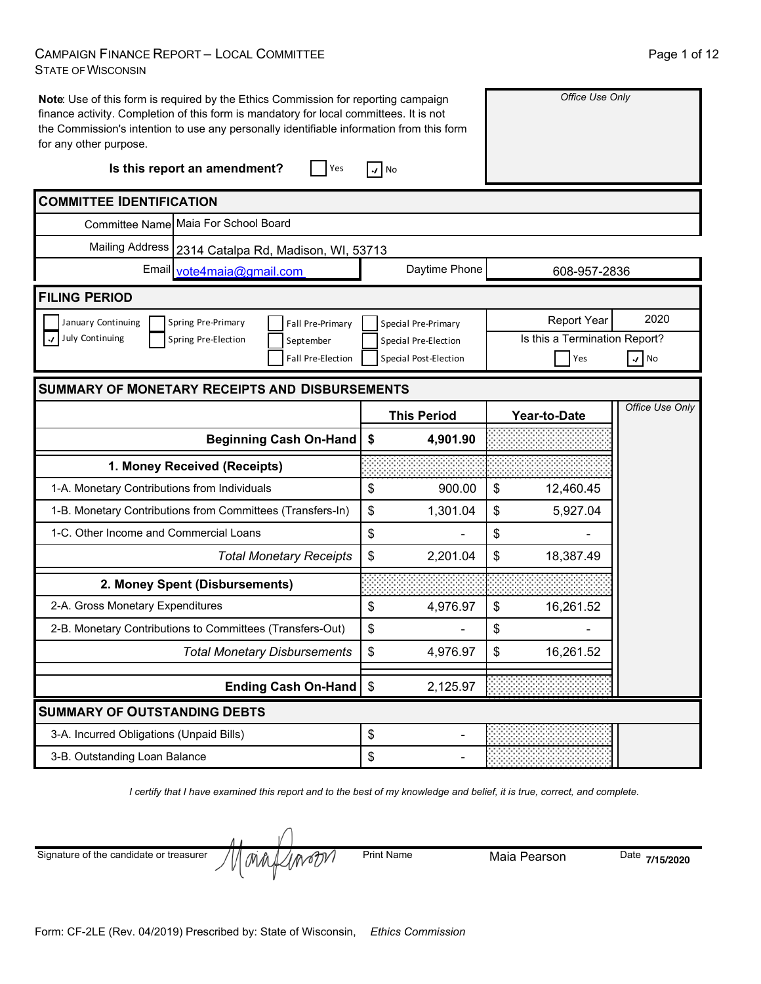#### CAMPAIGN FINANCE REPORT – LOCAL COMMITTEE STATE OF WISCONSIN

| Note: Use of this form is required by the Ethics Commission for reporting campaign<br>finance activity. Completion of this form is mandatory for local committees. It is not<br>the Commission's intention to use any personally identifiable information from this form<br>for any other purpose.<br>Is this report an amendment?<br>Yes | Office Use Only                |                               |                 |
|-------------------------------------------------------------------------------------------------------------------------------------------------------------------------------------------------------------------------------------------------------------------------------------------------------------------------------------------|--------------------------------|-------------------------------|-----------------|
| <b>COMMITTEE IDENTIFICATION</b>                                                                                                                                                                                                                                                                                                           |                                |                               |                 |
| Committee Name Maia For School Board                                                                                                                                                                                                                                                                                                      |                                |                               |                 |
| <b>Mailing Address</b><br>2314 Catalpa Rd, Madison, WI, 53713                                                                                                                                                                                                                                                                             |                                |                               |                 |
| Email vote4maia@gmail.com                                                                                                                                                                                                                                                                                                                 | Daytime Phone                  | 608-957-2836                  |                 |
| <b>FILING PERIOD</b>                                                                                                                                                                                                                                                                                                                      |                                |                               |                 |
| January Continuing<br>Spring Pre-Primary<br>Fall Pre-Primary                                                                                                                                                                                                                                                                              | Special Pre-Primary            | <b>Report Year</b>            | 2020            |
| July Continuing<br>Spring Pre-Election<br>September                                                                                                                                                                                                                                                                                       | Special Pre-Election           | Is this a Termination Report? |                 |
| Fall Pre-Election                                                                                                                                                                                                                                                                                                                         | Special Post-Election          | Yes                           | $\sqrt{N}$      |
| <b>SUMMARY OF MONETARY RECEIPTS AND DISBURSEMENTS</b>                                                                                                                                                                                                                                                                                     |                                |                               |                 |
|                                                                                                                                                                                                                                                                                                                                           | <b>This Period</b>             | <b>Year-to-Date</b>           | Office Use Only |
| <b>Beginning Cash On-Hand</b>                                                                                                                                                                                                                                                                                                             | 4,901.90<br>\$                 |                               |                 |
| 1. Money Received (Receipts)                                                                                                                                                                                                                                                                                                              |                                |                               |                 |
| 1-A. Monetary Contributions from Individuals                                                                                                                                                                                                                                                                                              | \$<br>900.00                   | \$<br>12,460.45               |                 |
| 1-B. Monetary Contributions from Committees (Transfers-In)                                                                                                                                                                                                                                                                                | \$<br>1,301.04                 | \$<br>5,927.04                |                 |
| 1-C. Other Income and Commercial Loans                                                                                                                                                                                                                                                                                                    | \$                             | \$                            |                 |
| <b>Total Monetary Receipts</b>                                                                                                                                                                                                                                                                                                            | \$<br>2,201.04                 | \$<br>18,387.49               |                 |
| 2. Money Spent (Disbursements)                                                                                                                                                                                                                                                                                                            |                                |                               |                 |
| 2-A. Gross Monetary Expenditures                                                                                                                                                                                                                                                                                                          | \$<br>4,976.97                 | \$<br>16,261.52               |                 |
| 2-B. Monetary Contributions to Committees (Transfers-Out)                                                                                                                                                                                                                                                                                 | $\boldsymbol{\mathsf{S}}$      | \$                            |                 |
| <b>Total Monetary Disbursements</b>                                                                                                                                                                                                                                                                                                       | \$<br>4,976.97                 | \$<br>16,261.52               |                 |
| <b>Ending Cash On-Hand</b>                                                                                                                                                                                                                                                                                                                | \$<br>2,125.97                 |                               |                 |
| <b>SUMMARY OF OUTSTANDING DEBTS</b>                                                                                                                                                                                                                                                                                                       |                                |                               |                 |
| 3-A. Incurred Obligations (Unpaid Bills)                                                                                                                                                                                                                                                                                                  | \$<br>$\overline{\phantom{a}}$ |                               |                 |
| 3-B. Outstanding Loan Balance                                                                                                                                                                                                                                                                                                             | \$                             |                               |                 |

*I certify that I have examined this report and to the best of my knowledge and belief, it is true, correct, and complete.*

**INVENTI** Print Name Maia Pearson Date **7/15/2020** Signature of the candidate or treasurer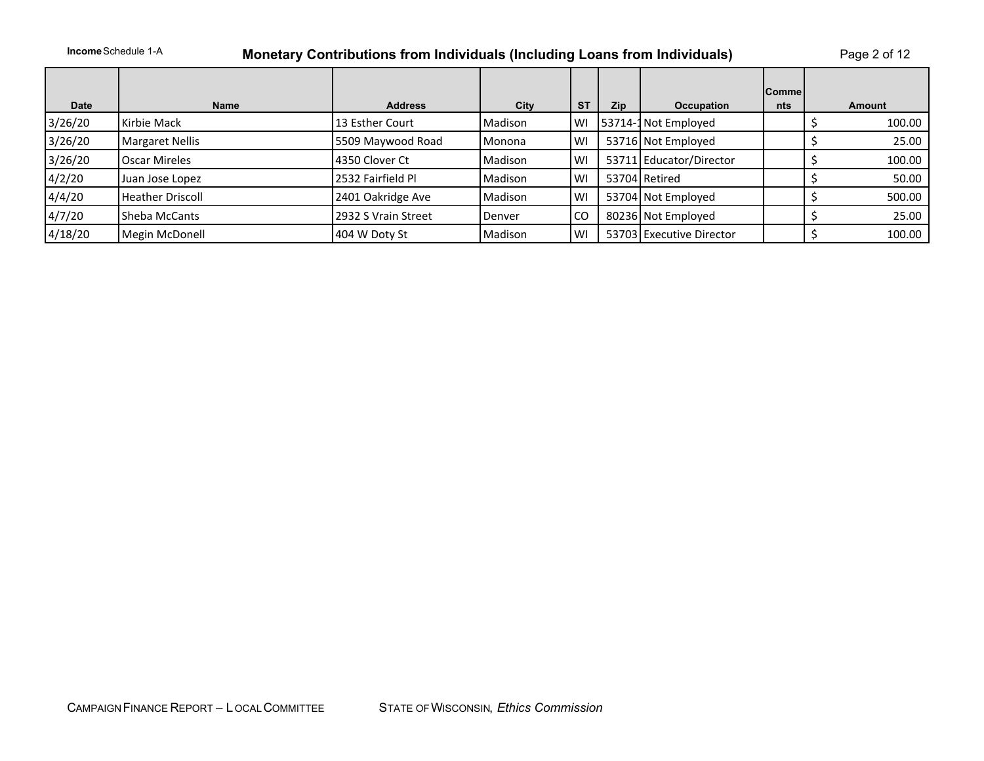### **Income** Schedule 1-A **Monetary Contributions from Individuals (Including Loans from Individuals)** Page 2 of 12

|             |                         |                     |         |           |            |                          | Comme |        |
|-------------|-------------------------|---------------------|---------|-----------|------------|--------------------------|-------|--------|
| <b>Date</b> | <b>Name</b>             | <b>Address</b>      | City    | <b>ST</b> | <b>Zip</b> | <b>Occupation</b>        | nts   | Amount |
| 3/26/20     | Kirbie Mack             | 13 Esther Court     | Madison | WI        |            | 53714-1 Not Employed     |       | 100.00 |
| 3/26/20     | <b>Margaret Nellis</b>  | 5509 Maywood Road   | Monona  | WI        |            | 53716 Not Employed       |       | 25.00  |
| 3/26/20     | Oscar Mireles           | 4350 Clover Ct      | Madison | WI        |            | 53711 Educator/Director  |       | 100.00 |
| 4/2/20      | Juan Jose Lopez         | 2532 Fairfield Pl   | Madison | <b>WI</b> |            | 53704 Retired            |       | 50.00  |
| 4/4/20      | <b>Heather Driscoll</b> | 2401 Oakridge Ave   | Madison | <b>WI</b> |            | 53704 Not Employed       |       | 500.00 |
| 4/7/20      | Sheba McCants           | 2932 S Vrain Street | Denver  | l CO      |            | 80236 Not Employed       |       | 25.00  |
| 4/18/20     | Megin McDonell          | 404 W Doty St       | Madison | <b>WI</b> |            | 53703 Executive Director |       | 100.00 |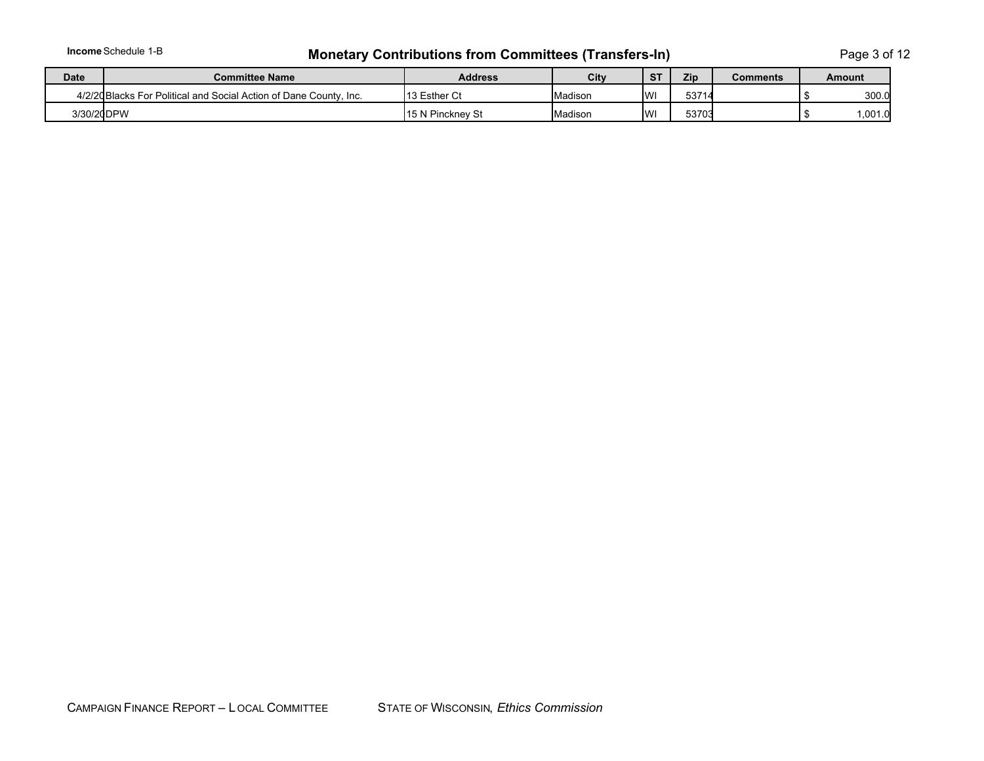# **Income** Schedule 1-B **Monetary Contributions from Committees (Transfers-In)** Page 3 of 12

| <b>Date</b> | <b>Committee Name</b>                                              | <b>Address</b>   | City    | S <sub>1</sub><br>Zip |       | Comments | Amount  |
|-------------|--------------------------------------------------------------------|------------------|---------|-----------------------|-------|----------|---------|
|             | 4/2/20 Blacks For Political and Social Action of Dane County, Inc. | 13 Esther Ct     | Madison | IW                    | 53714 |          | 300.0   |
| 3/30/20DPW  |                                                                    | 15 N Pinckney St | Madison | IW                    | 53703 |          | 0.001.0 |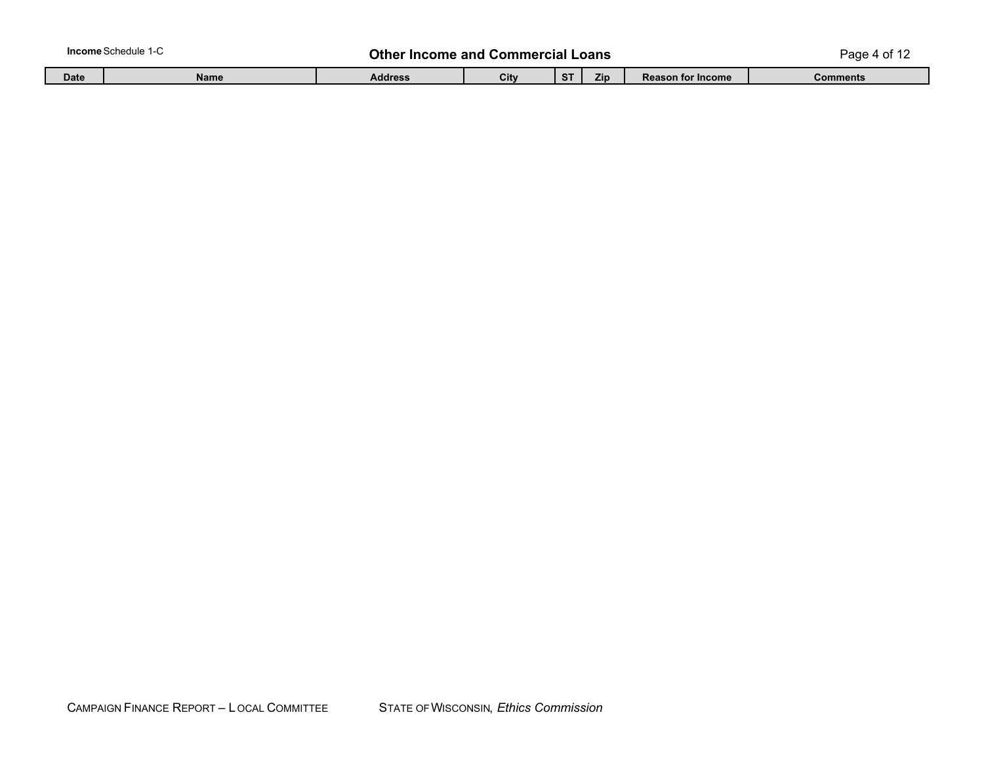| <b>Income Schedule 1-C</b> |  |
|----------------------------|--|
|----------------------------|--|

### **In the Income and Commercial Loans Commercial Loans** Page 4 of 12

| <b>Date</b> | Name | aaaress | -- |  | <b>Reason for Income</b> | Comments |
|-------------|------|---------|----|--|--------------------------|----------|
|             |      |         |    |  |                          |          |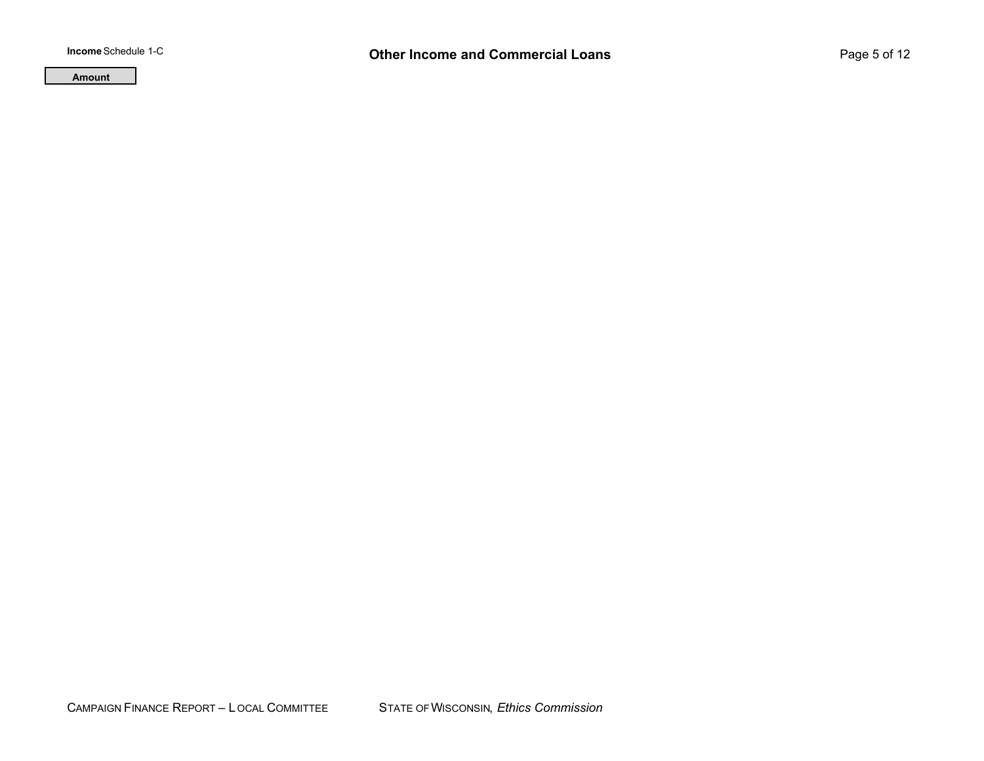**Amount**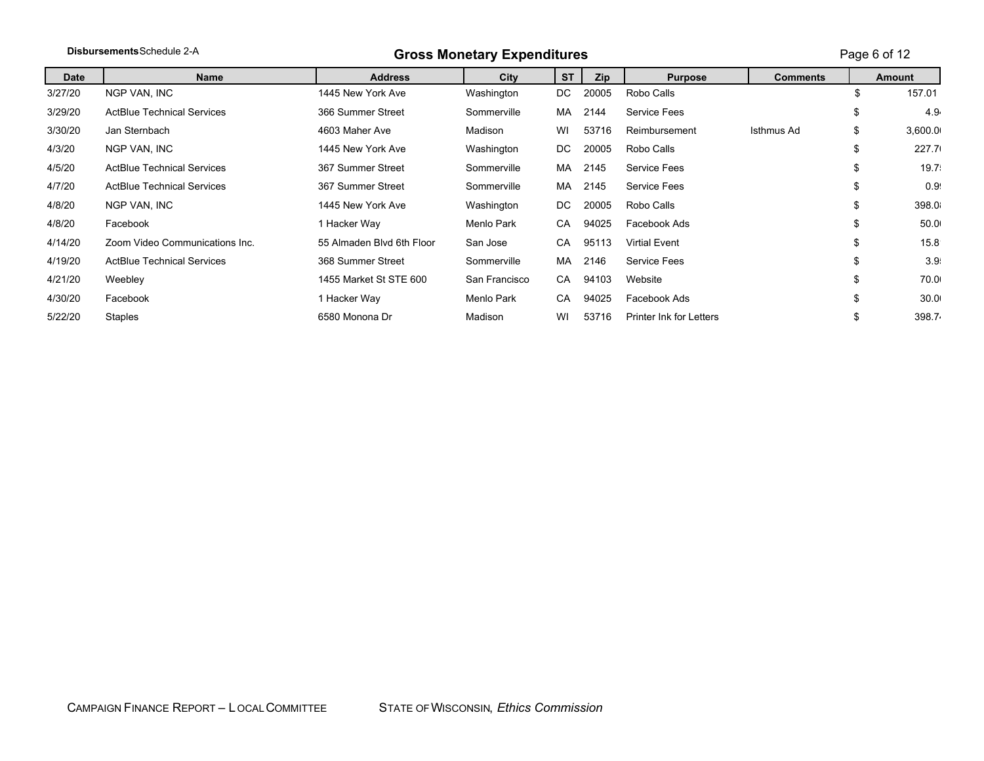|         | Disbursements Schedule 2-A        | <b>Gross Monetary Expenditures</b> |               |           |       |                                |                 |    | Page 6 of 12      |  |
|---------|-----------------------------------|------------------------------------|---------------|-----------|-------|--------------------------------|-----------------|----|-------------------|--|
| Date    | <b>Name</b>                       | <b>Address</b>                     | City          | <b>ST</b> | Zip   | <b>Purpose</b>                 | <b>Comments</b> |    | Amount            |  |
| 3/27/20 | NGP VAN, INC                      | 1445 New York Ave                  | Washington    | DC.       | 20005 | Robo Calls                     |                 | \$ | 157.01            |  |
| 3/29/20 | <b>ActBlue Technical Services</b> | 366 Summer Street                  | Sommerville   | MA.       | 2144  | Service Fees                   |                 | \$ | 4.9.              |  |
| 3/30/20 | Jan Sternbach                     | 4603 Maher Ave                     | Madison       | WI        | 53716 | Reimbursement                  | Isthmus Ad      | \$ | 3,600.0           |  |
| 4/3/20  | NGP VAN, INC                      | 1445 New York Ave                  | Washington    | DC.       | 20005 | Robo Calls                     |                 | \$ | 227.7             |  |
| 4/5/20  | <b>ActBlue Technical Services</b> | 367 Summer Street                  | Sommerville   | MA.       | 2145  | Service Fees                   |                 | \$ | 19.7 <sup>1</sup> |  |
| 4/7/20  | <b>ActBlue Technical Services</b> | 367 Summer Street                  | Sommerville   | MA        | 2145  | Service Fees                   |                 | \$ | 0.95              |  |
| 4/8/20  | NGP VAN, INC                      | 1445 New York Ave                  | Washington    | DC.       | 20005 | Robo Calls                     |                 | \$ | 398.0             |  |
| 4/8/20  | Facebook                          | 1 Hacker Way                       | Menlo Park    | CA        | 94025 | Facebook Ads                   |                 | \$ | 50.0              |  |
| 4/14/20 | Zoom Video Communications Inc.    | 55 Almaden Blyd 6th Floor          | San Jose      | CA        | 95113 | <b>Virtial Event</b>           |                 | \$ | 15.8              |  |
| 4/19/20 | <b>ActBlue Technical Services</b> | 368 Summer Street                  | Sommerville   | MA        | 2146  | Service Fees                   |                 | \$ | 3.9 <sup>1</sup>  |  |
| 4/21/20 | Weebley                           | 1455 Market St STE 600             | San Francisco | CA        | 94103 | Website                        |                 | \$ | 70.0              |  |
| 4/30/20 | Facebook                          | 1 Hacker Way                       | Menlo Park    | CA        | 94025 | Facebook Ads                   |                 | \$ | 30.0(             |  |
| 5/22/20 | <b>Staples</b>                    | 6580 Monona Dr                     | Madison       | WI        | 53716 | <b>Printer Ink for Letters</b> |                 | S  | 398.7             |  |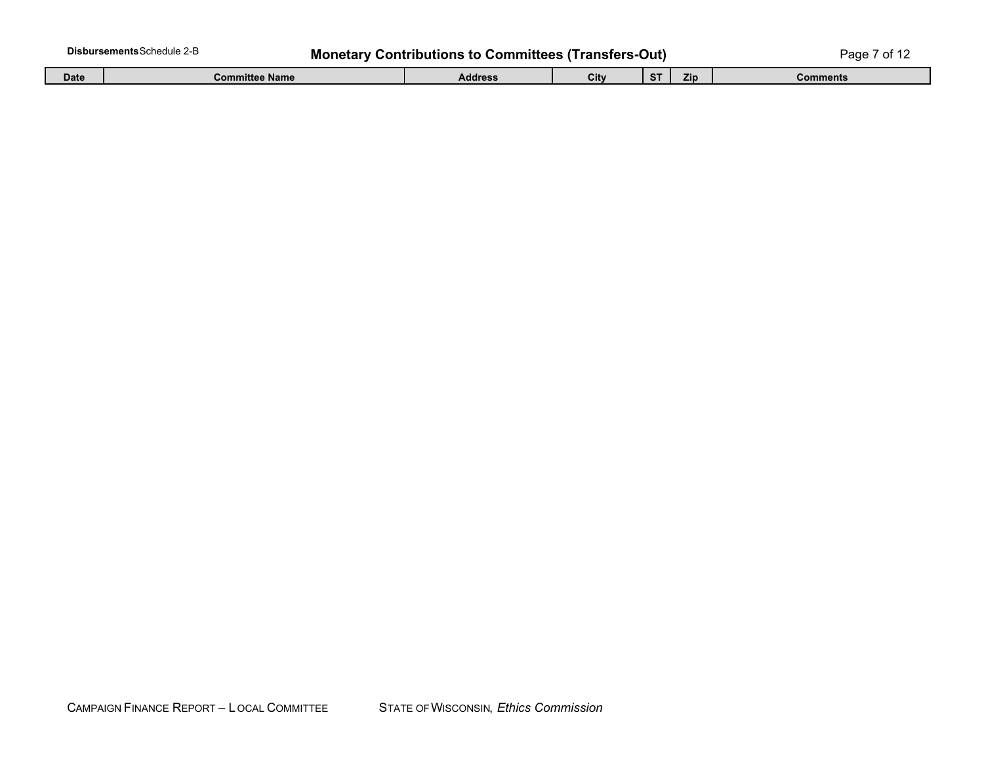| Disbursements Schedule 2-B                                  |      |                       |         |      |             |            | ∩r       |
|-------------------------------------------------------------|------|-----------------------|---------|------|-------------|------------|----------|
| <b>Monetary Contributions to Committees (Transfers-Out)</b> |      |                       |         |      |             |            | age.     |
|                                                             | Date | <b>Committee Name</b> | Address | City | $\sim$<br>◡ | <b>Zip</b> | Comments |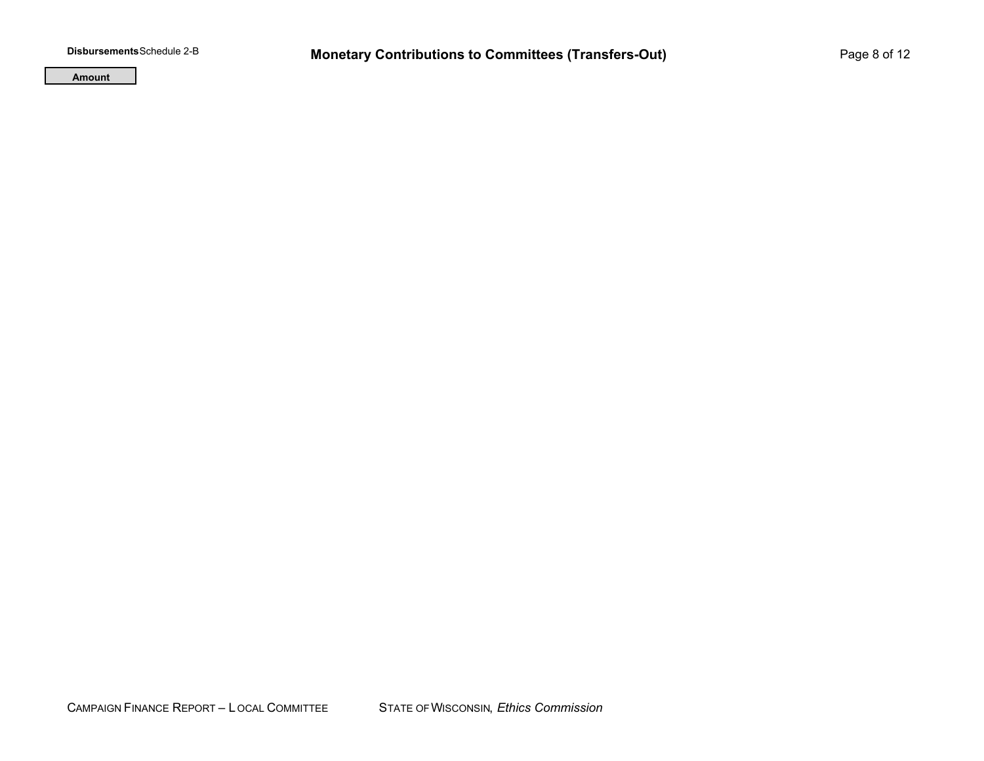**Amount**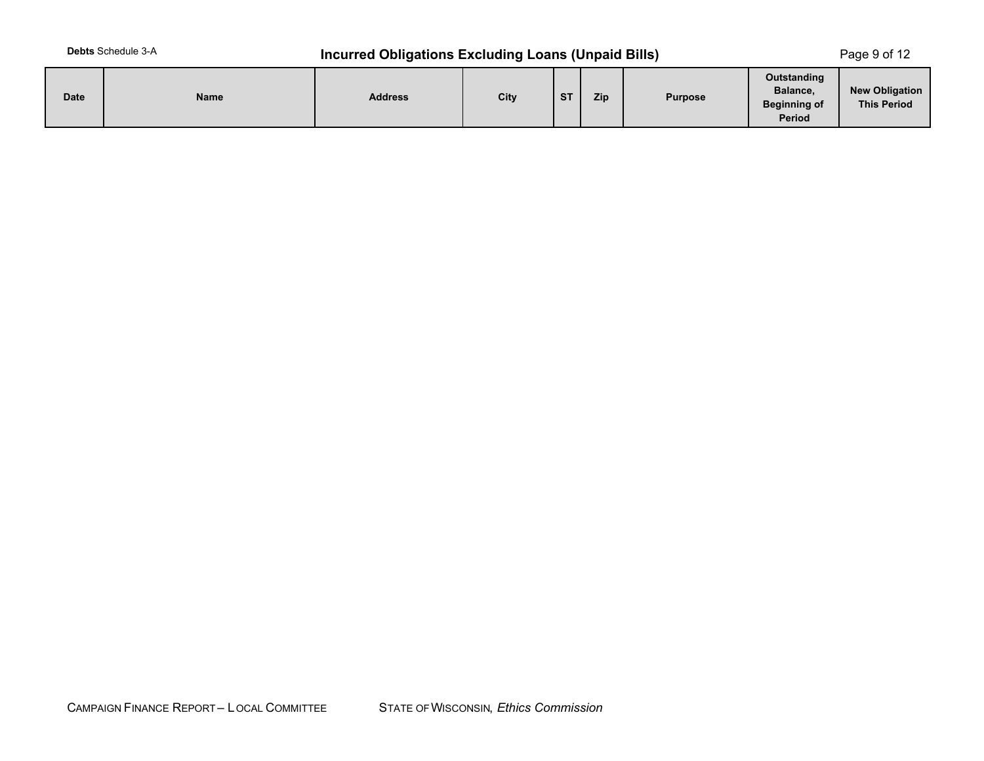# **Debts** Schedule 3-A **Incurred Obligations Excluding Loans (Unpaid Bills)** Page 9 of 12

| <b>Date</b> | <b>Name</b> | <b>Address</b> | City | $C$ T<br>ञ | Zip | <b>Purpose</b> | Outstanding<br>Balance,<br><b>Beginning of</b><br><b>Period</b> | <b>New Obligation</b><br><b>This Period</b> |
|-------------|-------------|----------------|------|------------|-----|----------------|-----------------------------------------------------------------|---------------------------------------------|
|-------------|-------------|----------------|------|------------|-----|----------------|-----------------------------------------------------------------|---------------------------------------------|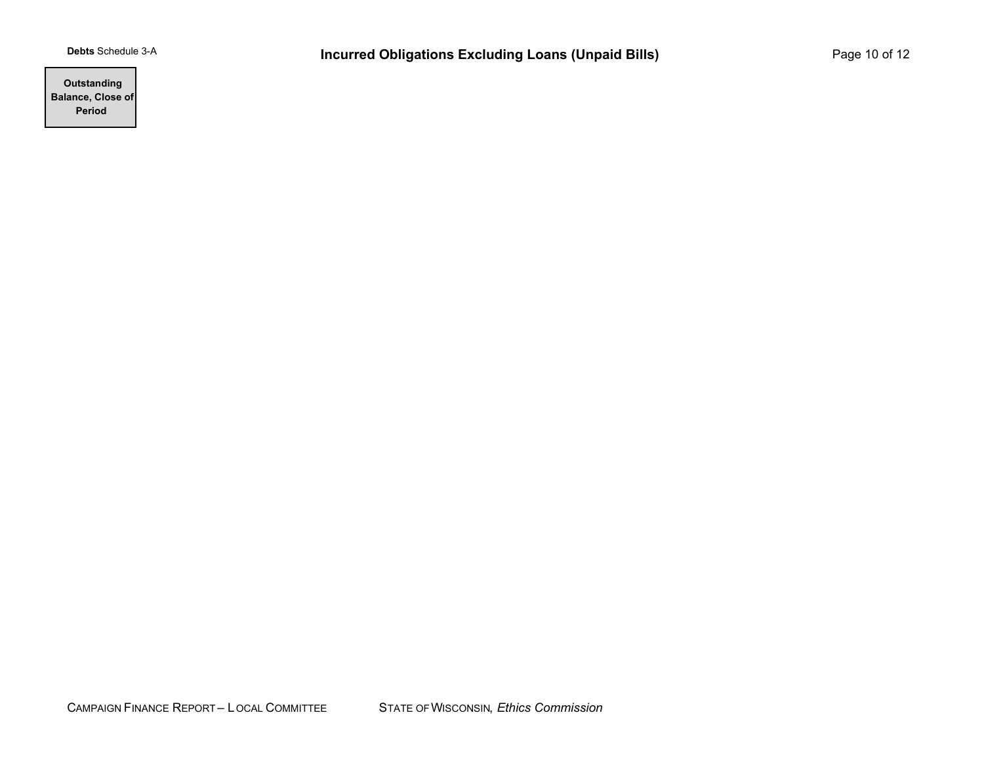**Outstanding Balance, Close of Period**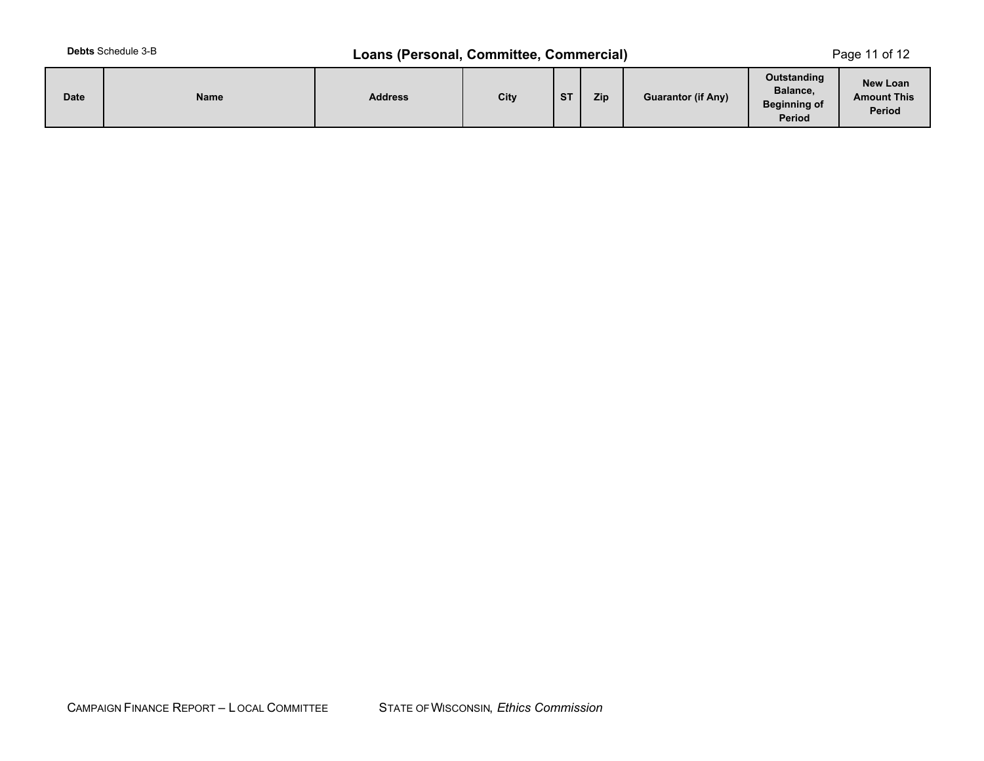# **Debts** Schedule 3-B **Loans (Personal, Committee, Commercial)** Page 11 of 12

| <b>Date</b> | <b>Name</b> | <b>Address</b> | City | $_{\rm cr}$<br>P | Zip | <b>Guarantor (if Any)</b> | Outstanding<br>Balance,<br><b>Beginning of</b><br><b>Period</b> | New Loan<br><b>Amount This</b><br><b>Period</b> |
|-------------|-------------|----------------|------|------------------|-----|---------------------------|-----------------------------------------------------------------|-------------------------------------------------|
|-------------|-------------|----------------|------|------------------|-----|---------------------------|-----------------------------------------------------------------|-------------------------------------------------|